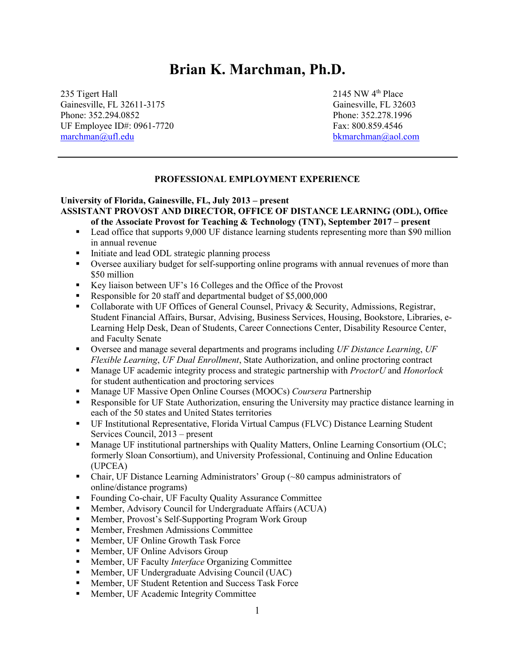# **Brian K. Marchman, Ph.D.**

235 Tigert Hall 2145 NW 4<sup>th</sup> Place Gainesville, FL 32611-3175 Gainesville, FL 32603 Phone: 352.294.0852 Phone: 352.278.1996 UF Employee ID#: 0961-7720 Fax: 800.859.4546 [marchman@ufl.edu](mailto:bmarchman@flvs.net) bkmarchman@aol.com

#### **PROFESSIONAL EMPLOYMENT EXPERIENCE**

j

#### **University of Florida, Gainesville, FL, July 2013 – present ASSISTANT PROVOST AND DIRECTOR, OFFICE OF DISTANCE LEARNING (ODL), Office of the Associate Provost for Teaching & Technology (TNT), September 2017 – present**

- Lead office that supports 9,000 UF distance learning students representing more than \$90 million in annual revenue
- Initiate and lead ODL strategic planning process
- Oversee auxiliary budget for self-supporting online programs with annual revenues of more than \$50 million
- Key liaison between UF's 16 Colleges and the Office of the Provost
- Responsible for 20 staff and departmental budget of \$5,000,000
- Collaborate with UF Offices of General Counsel, Privacy & Security, Admissions, Registrar, Student Financial Affairs, Bursar, Advising, Business Services, Housing, Bookstore, Libraries, e-Learning Help Desk, Dean of Students, Career Connections Center, Disability Resource Center, and Faculty Senate
- Oversee and manage several departments and programs including *UF Distance Learning*, *UF Flexible Learning*, *UF Dual Enrollment*, State Authorization, and online proctoring contract
- Manage UF academic integrity process and strategic partnership with *ProctorU* and *Honorlock* for student authentication and proctoring services
- **Manage UF Massive Open Online Courses (MOOCs)** *Coursera* **Partnership**
- Responsible for UF State Authorization, ensuring the University may practice distance learning in each of the 50 states and United States territories
- UF Institutional Representative, Florida Virtual Campus (FLVC) Distance Learning Student Services Council, 2013 – present
- **Manage UF institutional partnerships with Quality Matters, Online Learning Consortium (OLC;** formerly Sloan Consortium), and University Professional, Continuing and Online Education (UPCEA)
- Chair, UF Distance Learning Administrators' Group (~80 campus administrators of online/distance programs)
- Founding Co-chair, UF Faculty Quality Assurance Committee
- Member, Advisory Council for Undergraduate Affairs (ACUA)
- **Member, Provost's Self-Supporting Program Work Group**
- **Member, Freshmen Admissions Committee**
- **Member, UF Online Growth Task Force**
- **Member, UF Online Advisors Group**
- **Member, UF Faculty** *Interface* Organizing Committee
- **Member, UF Undergraduate Advising Council (UAC)**
- **Member, UF Student Retention and Success Task Force**
- **Member, UF Academic Integrity Committee**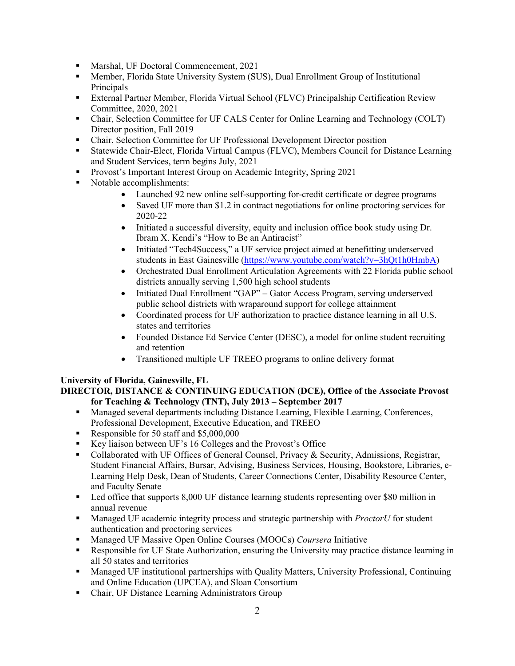- Marshal, UF Doctoral Commencement, 2021
- Member, Florida State University System (SUS), Dual Enrollment Group of Institutional Principals
- External Partner Member, Florida Virtual School (FLVC) Principalship Certification Review Committee, 2020, 2021
- Chair, Selection Committee for UF CALS Center for Online Learning and Technology (COLT) Director position, Fall 2019
- Chair, Selection Committee for UF Professional Development Director position
- Statewide Chair-Elect, Florida Virtual Campus (FLVC), Members Council for Distance Learning and Student Services, term begins July, 2021
- **Provost's Important Interest Group on Academic Integrity, Spring 2021**
- Notable accomplishments:
	- Launched 92 new online self-supporting for-credit certificate or degree programs
	- Saved UF more than \$1.2 in contract negotiations for online proctoring services for 2020-22
	- Initiated a successful diversity, equity and inclusion office book study using Dr. Ibram X. Kendi's "How to Be an Antiracist"
	- Initiated "Tech4Success," a UF service project aimed at benefitting underserved students in East Gainesville [\(https://www.youtube.com/watch?v=3hQt1h0HmbA\)](https://www.youtube.com/watch?v=3hQt1h0HmbA)
	- Orchestrated Dual Enrollment Articulation Agreements with 22 Florida public school districts annually serving 1,500 high school students
	- Initiated Dual Enrollment "GAP" Gator Access Program, serving underserved public school districts with wraparound support for college attainment
	- Coordinated process for UF authorization to practice distance learning in all U.S. states and territories
	- Founded Distance Ed Service Center (DESC), a model for online student recruiting and retention
	- Transitioned multiple UF TREEO programs to online delivery format

### **University of Florida, Gainesville, FL**

### **DIRECTOR, DISTANCE & CONTINUING EDUCATION (DCE), Office of the Associate Provost for Teaching & Technology (TNT), July 2013 – September 2017**

- Managed several departments including Distance Learning, Flexible Learning, Conferences, Professional Development, Executive Education, and TREEO
- Responsible for 50 staff and \$5,000,000
- Key liaison between UF's 16 Colleges and the Provost's Office
- Collaborated with UF Offices of General Counsel, Privacy & Security, Admissions, Registrar, Student Financial Affairs, Bursar, Advising, Business Services, Housing, Bookstore, Libraries, e-Learning Help Desk, Dean of Students, Career Connections Center, Disability Resource Center, and Faculty Senate
- Led office that supports 8,000 UF distance learning students representing over \$80 million in annual revenue
- Managed UF academic integrity process and strategic partnership with *ProctorU* for student authentication and proctoring services
- Managed UF Massive Open Online Courses (MOOCs) *Coursera* Initiative
- Responsible for UF State Authorization, ensuring the University may practice distance learning in all 50 states and territories
- Managed UF institutional partnerships with Quality Matters, University Professional, Continuing and Online Education (UPCEA), and Sloan Consortium
- Chair, UF Distance Learning Administrators Group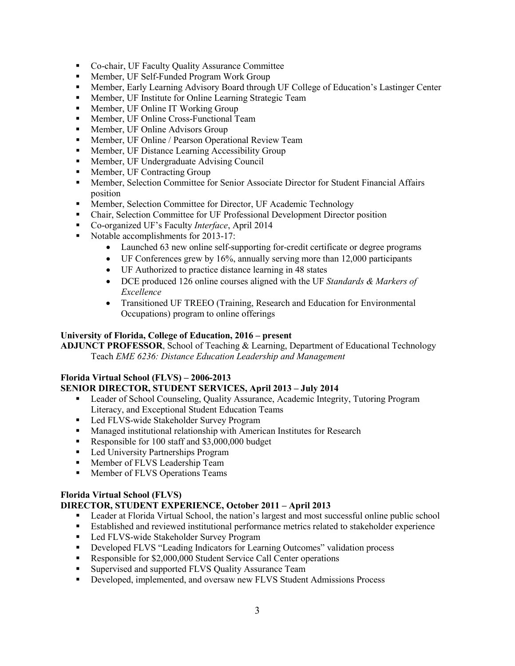- Co-chair, UF Faculty Quality Assurance Committee
- Member, UF Self-Funded Program Work Group
- Member, Early Learning Advisory Board through UF College of Education's Lastinger Center
- **Member, UF Institute for Online Learning Strategic Team**
- **Member, UF Online IT Working Group**
- **Member, UF Online Cross-Functional Team**
- **Member, UF Online Advisors Group**
- **Member, UF Online / Pearson Operational Review Team**
- **Member, UF Distance Learning Accessibility Group**
- Member, UF Undergraduate Advising Council
- **Member, UF Contracting Group**
- **Member, Selection Committee for Senior Associate Director for Student Financial Affairs** position
- Member, Selection Committee for Director, UF Academic Technology
- Chair, Selection Committee for UF Professional Development Director position
- Co-organized UF's Faculty *Interface*, April 2014
- Notable accomplishments for 2013-17:
	- Launched 63 new online self-supporting for-credit certificate or degree programs
	- UF Conferences grew by 16%, annually serving more than 12,000 participants
	- UF Authorized to practice distance learning in 48 states
	- DCE produced 126 online courses aligned with the UF *Standards & Markers of Excellence*
	- Transitioned UF TREEO (Training, Research and Education for Environmental Occupations) program to online offerings

## **University of Florida, College of Education, 2016 – present**

**ADJUNCT PROFESSOR**, School of Teaching & Learning, Department of Educational Technology Teach *EME 6236: Distance Education Leadership and Management*

# **Florida Virtual School (FLVS) – 2006-2013**

# **SENIOR DIRECTOR, STUDENT SERVICES, April 2013 – July 2014**

- Leader of School Counseling, Quality Assurance, Academic Integrity, Tutoring Program Literacy, and Exceptional Student Education Teams
- Led FLVS-wide Stakeholder Survey Program
- **Managed institutional relationship with American Institutes for Research**
- Responsible for 100 staff and \$3,000,000 budget
- **Led University Partnerships Program**
- **Member of FLVS Leadership Team**
- **Member of FLVS Operations Teams**

# **Florida Virtual School (FLVS)**

# **DIRECTOR, STUDENT EXPERIENCE, October 2011 – April 2013**

- **Example 1** Leader at Florida Virtual School, the nation's largest and most successful online public school
- Established and reviewed institutional performance metrics related to stakeholder experience
- Led FLVS-wide Stakeholder Survey Program
- Developed FLVS "Leading Indicators for Learning Outcomes" validation process
- Responsible for \$2,000,000 Student Service Call Center operations
- Supervised and supported FLVS Quality Assurance Team
- Developed, implemented, and oversaw new FLVS Student Admissions Process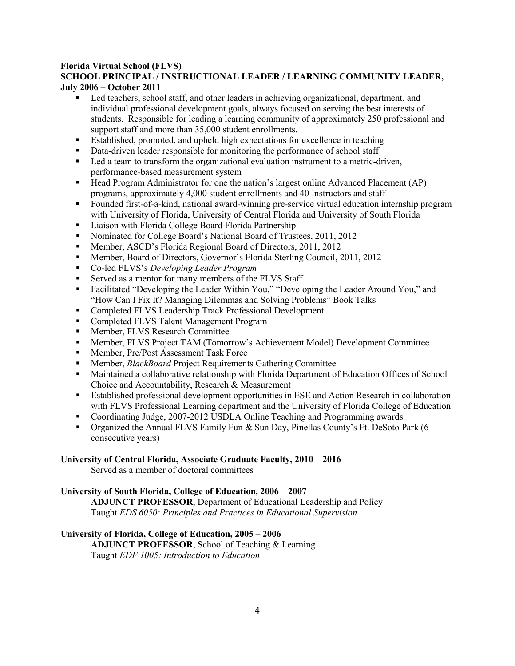#### **Florida Virtual School (FLVS) SCHOOL PRINCIPAL / INSTRUCTIONAL LEADER / LEARNING COMMUNITY LEADER, July 2006 – October 2011**

- Led teachers, school staff, and other leaders in achieving organizational, department, and individual professional development goals, always focused on serving the best interests of students. Responsible for leading a learning community of approximately 250 professional and support staff and more than 35,000 student enrollments.
- Established, promoted, and upheld high expectations for excellence in teaching
- Data-driven leader responsible for monitoring the performance of school staff
- Led a team to transform the organizational evaluation instrument to a metric-driven, performance-based measurement system
- Head Program Administrator for one the nation's largest online Advanced Placement (AP) programs, approximately 4,000 student enrollments and 40 Instructors and staff
- Founded first-of-a-kind, national award-winning pre-service virtual education internship program with University of Florida, University of Central Florida and University of South Florida
- **Example 3** Liaison with Florida College Board Florida Partnership
- Nominated for College Board's National Board of Trustees, 2011, 2012
- Member, ASCD's Florida Regional Board of Directors, 2011, 2012
- Member, Board of Directors, Governor's Florida Sterling Council, 2011, 2012
- Co-led FLVS's *Developing Leader Program*
- Served as a mentor for many members of the FLVS Staff
- Facilitated "Developing the Leader Within You," "Developing the Leader Around You," and "How Can I Fix It? Managing Dilemmas and Solving Problems" Book Talks
- Completed FLVS Leadership Track Professional Development
- Completed FLVS Talent Management Program
- **Member, FLVS Research Committee**
- Member, FLVS Project TAM (Tomorrow's Achievement Model) Development Committee
- **Member, Pre/Post Assessment Task Force**
- Member, *BlackBoard* Project Requirements Gathering Committee
- Maintained a collaborative relationship with Florida Department of Education Offices of School Choice and Accountability, Research & Measurement
- Established professional development opportunities in ESE and Action Research in collaboration with FLVS Professional Learning department and the University of Florida College of Education
- Coordinating Judge, 2007-2012 USDLA Online Teaching and Programming awards
- **Organized the Annual FLVS Family Fun & Sun Day, Pinellas County's Ft. DeSoto Park (6** consecutive years)

### **University of Central Florida, Associate Graduate Faculty, 2010 – 2016**

Served as a member of doctoral committees

### **University of South Florida, College of Education, 2006 – 2007**

**ADJUNCT PROFESSOR**, Department of Educational Leadership and Policy Taught *EDS 6050: Principles and Practices in Educational Supervision*

### **University of Florida, College of Education, 2005 – 2006**

**ADJUNCT PROFESSOR**, School of Teaching & Learning Taught *EDF 1005: Introduction to Education*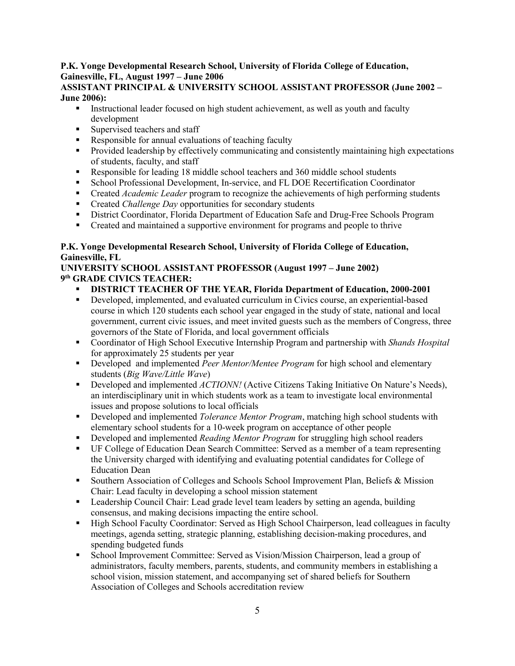# **P.K. Yonge Developmental Research School, University of Florida College of Education, Gainesville, FL, August 1997 – June 2006**

## **ASSISTANT PRINCIPAL & UNIVERSITY SCHOOL ASSISTANT PROFESSOR (June 2002 – June 2006):**

- Instructional leader focused on high student achievement, as well as youth and faculty development
- Supervised teachers and staff
- Responsible for annual evaluations of teaching faculty
- **Provided leadership by effectively communicating and consistently maintaining high expectations** of students, faculty, and staff
- Responsible for leading 18 middle school teachers and 360 middle school students
- School Professional Development, In-service, and FL DOE Recertification Coordinator
- Created *Academic Leader* program to recognize the achievements of high performing students
- **Created** *Challenge Day* opportunities for secondary students
- **EXECT** District Coordinator, Florida Department of Education Safe and Drug-Free Schools Program
- Created and maintained a supportive environment for programs and people to thrive

# **P.K. Yonge Developmental Research School, University of Florida College of Education, Gainesville, FL**

# **UNIVERSITY SCHOOL ASSISTANT PROFESSOR (August 1997 – June 2002) 9 th GRADE CIVICS TEACHER:**

- **DISTRICT TEACHER OF THE YEAR, Florida Department of Education, 2000-2001**
- Developed, implemented, and evaluated curriculum in Civics course, an experiential-based course in which 120 students each school year engaged in the study of state, national and local government, current civic issues, and meet invited guests such as the members of Congress, three governors of the State of Florida, and local government officials
- Coordinator of High School Executive Internship Program and partnership with *Shands Hospital* for approximately 25 students per year
- Developed and implemented *Peer Mentor/Mentee Program* for high school and elementary students (*Big Wave/Little Wave*)
- **Developed and implemented** *ACTIONN!* (Active Citizens Taking Initiative On Nature's Needs), an interdisciplinary unit in which students work as a team to investigate local environmental issues and propose solutions to local officials
- Developed and implemented *Tolerance Mentor Program*, matching high school students with elementary school students for a 10-week program on acceptance of other people
- Developed and implemented *Reading Mentor Program* for struggling high school readers
- UF College of Education Dean Search Committee: Served as a member of a team representing the University charged with identifying and evaluating potential candidates for College of Education Dean
- **Southern Association of Colleges and Schools School Improvement Plan, Beliefs & Mission** Chair: Lead faculty in developing a school mission statement
- **Example 1** Leadership Council Chair: Lead grade level team leaders by setting an agenda, building consensus, and making decisions impacting the entire school.
- High School Faculty Coordinator: Served as High School Chairperson, lead colleagues in faculty meetings, agenda setting, strategic planning, establishing decision-making procedures, and spending budgeted funds
- School Improvement Committee: Served as Vision/Mission Chairperson, lead a group of administrators, faculty members, parents, students, and community members in establishing a school vision, mission statement, and accompanying set of shared beliefs for Southern Association of Colleges and Schools accreditation review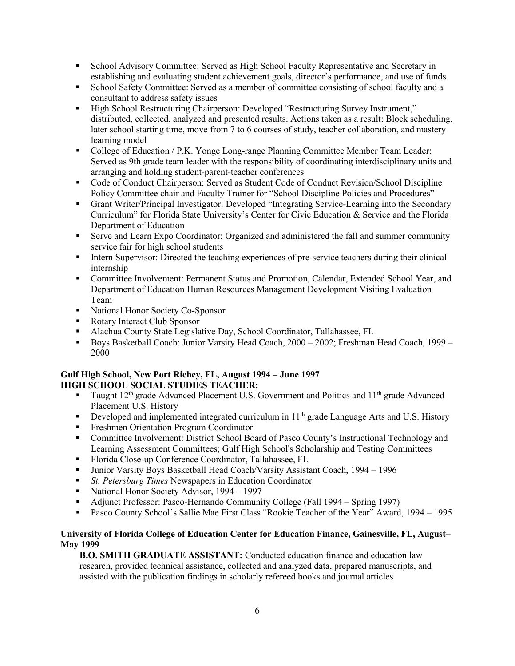- School Advisory Committee: Served as High School Faculty Representative and Secretary in establishing and evaluating student achievement goals, director's performance, and use of funds
- School Safety Committee: Served as a member of committee consisting of school faculty and a consultant to address safety issues
- High School Restructuring Chairperson: Developed "Restructuring Survey Instrument," distributed, collected, analyzed and presented results. Actions taken as a result: Block scheduling, later school starting time, move from 7 to 6 courses of study, teacher collaboration, and mastery learning model
- College of Education / P.K. Yonge Long-range Planning Committee Member Team Leader: Served as 9th grade team leader with the responsibility of coordinating interdisciplinary units and arranging and holding student-parent-teacher conferences
- Code of Conduct Chairperson: Served as Student Code of Conduct Revision/School Discipline Policy Committee chair and Faculty Trainer for "School Discipline Policies and Procedures"
- Grant Writer/Principal Investigator: Developed "Integrating Service-Learning into the Secondary Curriculum" for Florida State University's Center for Civic Education & Service and the Florida Department of Education
- Serve and Learn Expo Coordinator: Organized and administered the fall and summer community service fair for high school students
- Intern Supervisor: Directed the teaching experiences of pre-service teachers during their clinical internship
- Committee Involvement: Permanent Status and Promotion, Calendar, Extended School Year, and Department of Education Human Resources Management Development Visiting Evaluation Team
- National Honor Society Co-Sponsor
- Rotary Interact Club Sponsor
- Alachua County State Legislative Day, School Coordinator, Tallahassee, FL
- Boys Basketball Coach: Junior Varsity Head Coach, 2000 2002; Freshman Head Coach, 1999 -2000

### **Gulf High School, New Port Richey, FL, August 1994 – June 1997 HIGH SCHOOL SOCIAL STUDIES TEACHER:**

- Taught  $12<sup>th</sup>$  grade Advanced Placement U.S. Government and Politics and  $11<sup>th</sup>$  grade Advanced Placement U.S. History
- Developed and implemented integrated curriculum in  $11<sup>th</sup>$  grade Language Arts and U.S. History
- **Filter Freshmen Orientation Program Coordinator**
- Committee Involvement: District School Board of Pasco County's Instructional Technology and Learning Assessment Committees; Gulf High School's Scholarship and Testing Committees
- Florida Close-up Conference Coordinator, Tallahassee, FL
- Junior Varsity Boys Basketball Head Coach/Varsity Assistant Coach, 1994 1996
- *St. Petersburg Times* Newspapers in Education Coordinator
- National Honor Society Advisor, 1994 1997
- Adjunct Professor: Pasco-Hernando Community College (Fall 1994 Spring 1997)
- Pasco County School's Sallie Mae First Class "Rookie Teacher of the Year" Award, 1994 1995

### **University of Florida College of Education Center for Education Finance, Gainesville, FL, August– May 1999**

**B.O. SMITH GRADUATE ASSISTANT:** Conducted education finance and education law research, provided technical assistance, collected and analyzed data, prepared manuscripts, and assisted with the publication findings in scholarly refereed books and journal articles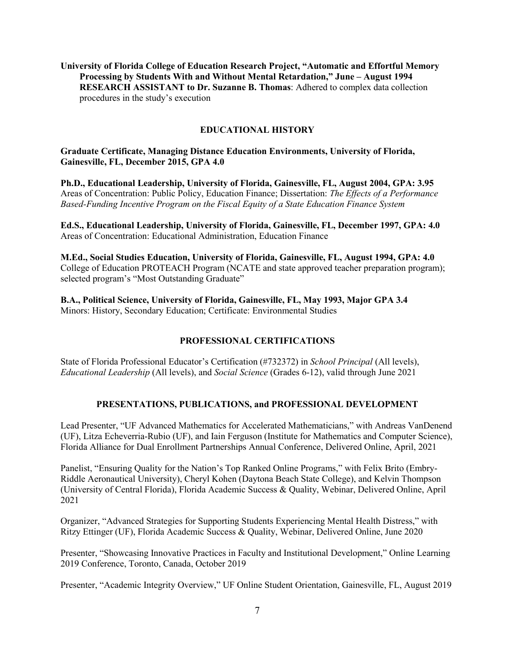**University of Florida College of Education Research Project, "Automatic and Effortful Memory Processing by Students With and Without Mental Retardation," June – August 1994 RESEARCH ASSISTANT to Dr. Suzanne B. Thomas**: Adhered to complex data collection procedures in the study's execution

#### **EDUCATIONAL HISTORY**

#### **Graduate Certificate, Managing Distance Education Environments, University of Florida, Gainesville, FL, December 2015, GPA 4.0**

**Ph.D., Educational Leadership, University of Florida, Gainesville, FL, August 2004, GPA: 3.95**  Areas of Concentration: Public Policy, Education Finance; Dissertation: *The Effects of a Performance Based-Funding Incentive Program on the Fiscal Equity of a State Education Finance System* 

**Ed.S., Educational Leadership, University of Florida, Gainesville, FL, December 1997, GPA: 4.0**  Areas of Concentration: Educational Administration, Education Finance

**M.Ed., Social Studies Education, University of Florida, Gainesville, FL, August 1994, GPA: 4.0**  College of Education PROTEACH Program (NCATE and state approved teacher preparation program); selected program's "Most Outstanding Graduate"

**B.A., Political Science, University of Florida, Gainesville, FL, May 1993, Major GPA 3.4**  Minors: History, Secondary Education; Certificate: Environmental Studies

#### **PROFESSIONAL CERTIFICATIONS**

State of Florida Professional Educator's Certification (#732372) in *School Principal* (All levels), *Educational Leadership* (All levels), and *Social Science* (Grades 6-12), valid through June 2021

#### **PRESENTATIONS, PUBLICATIONS, and PROFESSIONAL DEVELOPMENT**

Lead Presenter, "UF Advanced Mathematics for Accelerated Mathematicians," with Andreas VanDenend (UF), Litza Echeverria-Rubio (UF), and Iain Ferguson (Institute for Mathematics and Computer Science), Florida Alliance for Dual Enrollment Partnerships Annual Conference, Delivered Online, April, 2021

Panelist, "Ensuring Quality for the Nation's Top Ranked Online Programs," with Felix Brito (Embry-Riddle Aeronautical University), Cheryl Kohen (Daytona Beach State College), and Kelvin Thompson (University of Central Florida), Florida Academic Success & Quality, Webinar, Delivered Online, April 2021

Organizer, "Advanced Strategies for Supporting Students Experiencing Mental Health Distress," with Ritzy Ettinger (UF), Florida Academic Success & Quality, Webinar, Delivered Online, June 2020

Presenter, "Showcasing Innovative Practices in Faculty and Institutional Development," Online Learning 2019 Conference, Toronto, Canada, October 2019

Presenter, "Academic Integrity Overview," UF Online Student Orientation, Gainesville, FL, August 2019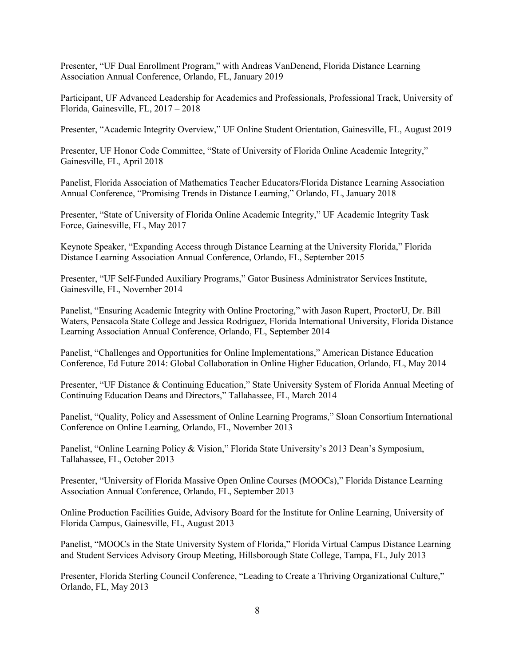Presenter, "UF Dual Enrollment Program," with Andreas VanDenend, Florida Distance Learning Association Annual Conference, Orlando, FL, January 2019

Participant, UF Advanced Leadership for Academics and Professionals, Professional Track, University of Florida, Gainesville, FL, 2017 – 2018

Presenter, "Academic Integrity Overview," UF Online Student Orientation, Gainesville, FL, August 2019

Presenter, UF Honor Code Committee, "State of University of Florida Online Academic Integrity," Gainesville, FL, April 2018

Panelist, Florida Association of Mathematics Teacher Educators/Florida Distance Learning Association Annual Conference, "Promising Trends in Distance Learning," Orlando, FL, January 2018

Presenter, "State of University of Florida Online Academic Integrity," UF Academic Integrity Task Force, Gainesville, FL, May 2017

Keynote Speaker, "Expanding Access through Distance Learning at the University Florida," Florida Distance Learning Association Annual Conference, Orlando, FL, September 2015

Presenter, "UF Self-Funded Auxiliary Programs," Gator Business Administrator Services Institute, Gainesville, FL, November 2014

Panelist, "Ensuring Academic Integrity with Online Proctoring," with Jason Rupert, ProctorU, Dr. Bill Waters, Pensacola State College and Jessica Rodriguez, Florida International University, Florida Distance Learning Association Annual Conference, Orlando, FL, September 2014

Panelist, "Challenges and Opportunities for Online Implementations," American Distance Education Conference, Ed Future 2014: Global Collaboration in Online Higher Education, Orlando, FL, May 2014

Presenter, "UF Distance & Continuing Education," State University System of Florida Annual Meeting of Continuing Education Deans and Directors," Tallahassee, FL, March 2014

Panelist, "Quality, Policy and Assessment of Online Learning Programs," Sloan Consortium International Conference on Online Learning, Orlando, FL, November 2013

Panelist, "Online Learning Policy & Vision," Florida State University's 2013 Dean's Symposium, Tallahassee, FL, October 2013

Presenter, "University of Florida Massive Open Online Courses (MOOCs)," Florida Distance Learning Association Annual Conference, Orlando, FL, September 2013

Online Production Facilities Guide, Advisory Board for the Institute for Online Learning, University of Florida Campus, Gainesville, FL, August 2013

Panelist, "MOOCs in the State University System of Florida," Florida Virtual Campus Distance Learning and Student Services Advisory Group Meeting, Hillsborough State College, Tampa, FL, July 2013

Presenter, Florida Sterling Council Conference, "Leading to Create a Thriving Organizational Culture," Orlando, FL, May 2013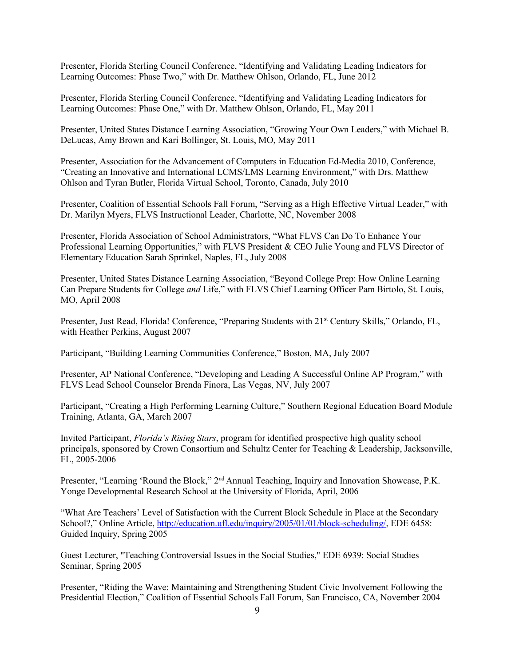Presenter, Florida Sterling Council Conference, "Identifying and Validating Leading Indicators for Learning Outcomes: Phase Two," with Dr. Matthew Ohlson, Orlando, FL, June 2012

Presenter, Florida Sterling Council Conference, "Identifying and Validating Leading Indicators for Learning Outcomes: Phase One," with Dr. Matthew Ohlson, Orlando, FL, May 2011

Presenter, United States Distance Learning Association, "Growing Your Own Leaders," with Michael B. DeLucas, Amy Brown and Kari Bollinger, St. Louis, MO, May 2011

Presenter, Association for the Advancement of Computers in Education Ed-Media 2010, Conference, "Creating an Innovative and International LCMS/LMS Learning Environment," with Drs. Matthew Ohlson and Tyran Butler, Florida Virtual School, Toronto, Canada, July 2010

Presenter, Coalition of Essential Schools Fall Forum, "Serving as a High Effective Virtual Leader," with Dr. Marilyn Myers, FLVS Instructional Leader, Charlotte, NC, November 2008

Presenter, Florida Association of School Administrators, "What FLVS Can Do To Enhance Your Professional Learning Opportunities," with FLVS President & CEO Julie Young and FLVS Director of Elementary Education Sarah Sprinkel, Naples, FL, July 2008

Presenter, United States Distance Learning Association, "Beyond College Prep: How Online Learning Can Prepare Students for College *and* Life," with FLVS Chief Learning Officer Pam Birtolo, St. Louis, MO, April 2008

Presenter, Just Read, Florida! Conference, "Preparing Students with 21<sup>st</sup> Century Skills," Orlando, FL, with Heather Perkins, August 2007

Participant, "Building Learning Communities Conference," Boston, MA, July 2007

Presenter, AP National Conference, "Developing and Leading A Successful Online AP Program," with FLVS Lead School Counselor Brenda Finora, Las Vegas, NV, July 2007

Participant, "Creating a High Performing Learning Culture," Southern Regional Education Board Module Training, Atlanta, GA, March 2007

Invited Participant, *Florida's Rising Stars*, program for identified prospective high quality school principals, sponsored by Crown Consortium and Schultz Center for Teaching & Leadership, Jacksonville, FL, 2005-2006

Presenter, "Learning 'Round the Block," 2<sup>nd</sup> Annual Teaching, Inquiry and Innovation Showcase, P.K. Yonge Developmental Research School at the University of Florida, April, 2006

"What Are Teachers' Level of Satisfaction with the Current Block Schedule in Place at the Secondary School?," Online Article, [http://education.ufl.edu/inquiry/2005/01/01/block-scheduling/,](http://education.ufl.edu/inquiry/2005/01/01/block-scheduling/) EDE 6458: Guided Inquiry, Spring 2005

Guest Lecturer, "Teaching Controversial Issues in the Social Studies," EDE 6939: Social Studies Seminar, Spring 2005

Presenter, "Riding the Wave: Maintaining and Strengthening Student Civic Involvement Following the Presidential Election," Coalition of Essential Schools Fall Forum, San Francisco, CA, November 2004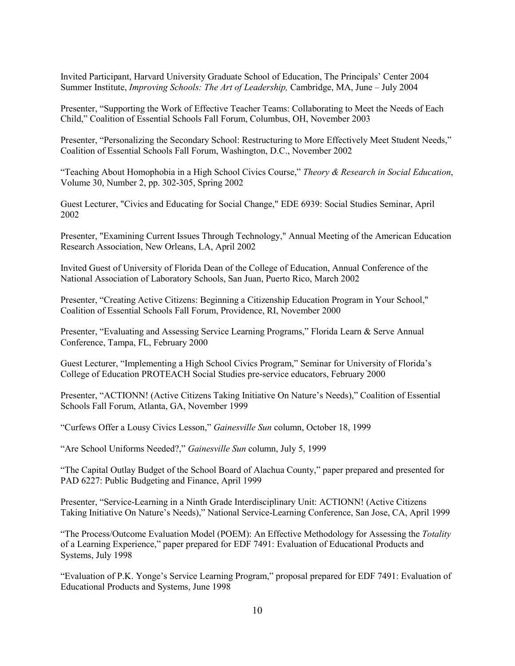Invited Participant, Harvard University Graduate School of Education, The Principals' Center 2004 Summer Institute, *Improving Schools: The Art of Leadership,* Cambridge, MA, June – July 2004

Presenter, "Supporting the Work of Effective Teacher Teams: Collaborating to Meet the Needs of Each Child," Coalition of Essential Schools Fall Forum, Columbus, OH, November 2003

Presenter, "Personalizing the Secondary School: Restructuring to More Effectively Meet Student Needs," Coalition of Essential Schools Fall Forum, Washington, D.C., November 2002

"Teaching About Homophobia in a High School Civics Course," *Theory & Research in Social Education*, Volume 30, Number 2, pp. 302-305, Spring 2002

Guest Lecturer, "Civics and Educating for Social Change," EDE 6939: Social Studies Seminar, April 2002

Presenter, "Examining Current Issues Through Technology," Annual Meeting of the American Education Research Association, New Orleans, LA, April 2002

Invited Guest of University of Florida Dean of the College of Education, Annual Conference of the National Association of Laboratory Schools, San Juan, Puerto Rico, March 2002

Presenter, "Creating Active Citizens: Beginning a Citizenship Education Program in Your School," Coalition of Essential Schools Fall Forum, Providence, RI, November 2000

Presenter, "Evaluating and Assessing Service Learning Programs," Florida Learn & Serve Annual Conference, Tampa, FL, February 2000

Guest Lecturer, "Implementing a High School Civics Program," Seminar for University of Florida's College of Education PROTEACH Social Studies pre-service educators, February 2000

Presenter, "ACTIONN! (Active Citizens Taking Initiative On Nature's Needs)," Coalition of Essential Schools Fall Forum, Atlanta, GA, November 1999

"Curfews Offer a Lousy Civics Lesson," *Gainesville Sun* column, October 18, 1999

"Are School Uniforms Needed?," *Gainesville Sun* column, July 5, 1999

"The Capital Outlay Budget of the School Board of Alachua County," paper prepared and presented for PAD 6227: Public Budgeting and Finance, April 1999

Presenter, "Service-Learning in a Ninth Grade Interdisciplinary Unit: ACTIONN! (Active Citizens Taking Initiative On Nature's Needs)," National Service-Learning Conference, San Jose, CA, April 1999

"The Process/Outcome Evaluation Model (POEM): An Effective Methodology for Assessing the *Totality* of a Learning Experience," paper prepared for EDF 7491: Evaluation of Educational Products and Systems, July 1998

"Evaluation of P.K. Yonge's Service Learning Program," proposal prepared for EDF 7491: Evaluation of Educational Products and Systems, June 1998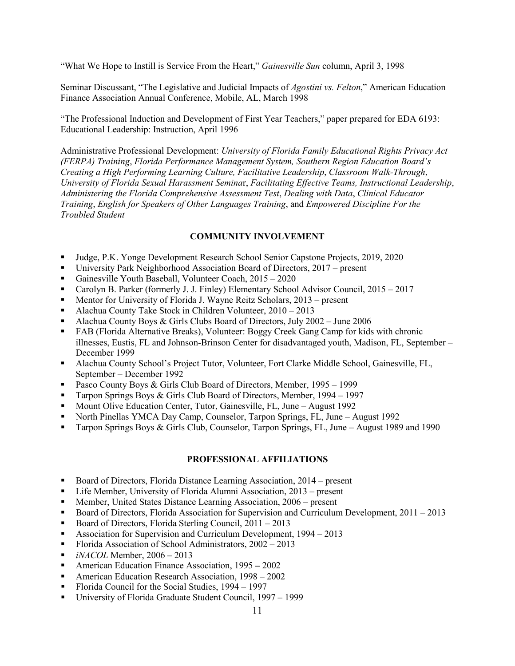"What We Hope to Instill is Service From the Heart," *Gainesville Sun* column, April 3, 1998

Seminar Discussant, "The Legislative and Judicial Impacts of *Agostini vs. Felton*," American Education Finance Association Annual Conference, Mobile, AL, March 1998

"The Professional Induction and Development of First Year Teachers," paper prepared for EDA 6193: Educational Leadership: Instruction, April 1996

Administrative Professional Development: *University of Florida Family Educational Rights Privacy Act (FERPA) Training*, *Florida Performance Management System, Southern Region Education Board's Creating a High Performing Learning Culture, Facilitative Leadership*, *Classroom Walk-Through*, *University of Florida Sexual Harassment Semina*r, *Facilitating Effective Teams, Instructional Leadership*, *Administering the Florida Comprehensive Assessment Test*, *Dealing with Data*, *Clinical Educator Training*, *English for Speakers of Other Languages Training*, and *Empowered Discipline For the Troubled Student* 

# **COMMUNITY INVOLVEMENT**

- Judge, P.K. Yonge Development Research School Senior Capstone Projects, 2019, 2020
- University Park Neighborhood Association Board of Directors, 2017 present
- Gainesville Youth Baseball, Volunteer Coach, 2015 2020
- Carolyn B. Parker (formerly J. J. Finley) Elementary School Advisor Council, 2015 2017
- **Mentor for University of Florida J. Wayne Reitz Scholars, 2013** present
- Alachua County Take Stock in Children Volunteer, 2010 2013
- Alachua County Boys & Girls Clubs Board of Directors, July 2002 June 2006
- FAB (Florida Alternative Breaks), Volunteer: Boggy Creek Gang Camp for kids with chronic illnesses, Eustis, FL and Johnson-Brinson Center for disadvantaged youth, Madison, FL, September – December 1999
- Alachua County School's Project Tutor, Volunteer, Fort Clarke Middle School, Gainesville, FL, September – December 1992
- Pasco County Boys & Girls Club Board of Directors, Member, 1995 1999
- Tarpon Springs Boys & Girls Club Board of Directors, Member, 1994 1997
- **Mount Olive Education Center, Tutor, Gainesville, FL, June August 1992**
- North Pinellas YMCA Day Camp, Counselor, Tarpon Springs, FL, June August 1992
- Tarpon Springs Boys & Girls Club, Counselor, Tarpon Springs, FL, June August 1989 and 1990

#### **PROFESSIONAL AFFILIATIONS**

- Board of Directors, Florida Distance Learning Association, 2014 present
- Life Member, University of Florida Alumni Association, 2013 present
- Member, United States Distance Learning Association, 2006 present
- Board of Directors, Florida Association for Supervision and Curriculum Development, 2011 2013
- Board of Directors, Florida Sterling Council,  $2011 2013$
- Association for Supervision and Curriculum Development, 1994 2013
- Florida Association of School Administrators, 2002 2013
- *iNACOL* Member, 20062013
- American Education Finance Association, 19952002
- **American Education Research Association, 1998 2002**
- Florida Council for the Social Studies, 1994 1997
- University of Florida Graduate Student Council, 1997 1999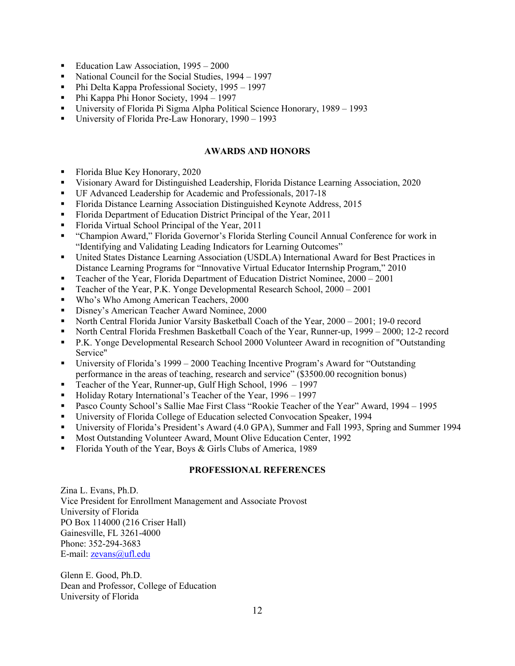- Education Law Association, 1995 2000
- National Council for the Social Studies, 1994 1997
- Phi Delta Kappa Professional Society,  $1995 1997$
- Phi Kappa Phi Honor Society, 1994 1997
- University of Florida Pi Sigma Alpha Political Science Honorary, 1989 1993
- University of Florida Pre-Law Honorary, 1990 1993

#### **AWARDS AND HONORS**

- Florida Blue Key Honorary, 2020
- Visionary Award for Distinguished Leadership, Florida Distance Learning Association, 2020
- UF Advanced Leadership for Academic and Professionals, 2017-18
- Florida Distance Learning Association Distinguished Keynote Address, 2015
- Florida Department of Education District Principal of the Year, 2011
- Florida Virtual School Principal of the Year, 2011
- "Champion Award," Florida Governor's Florida Sterling Council Annual Conference for work in "Identifying and Validating Leading Indicators for Learning Outcomes"
- United States Distance Learning Association (USDLA) International Award for Best Practices in Distance Learning Programs for "Innovative Virtual Educator Internship Program," 2010
- Teacher of the Year, Florida Department of Education District Nominee, 2000 2001
- Teacher of the Year, P.K. Yonge Developmental Research School, 2000 2001
- Who's Who Among American Teachers, 2000
- Disney's American Teacher Award Nominee, 2000
- North Central Florida Junior Varsity Basketball Coach of the Year, 2000 2001; 19-0 record
- North Central Florida Freshmen Basketball Coach of the Year, Runner-up, 1999 2000; 12-2 record
- P.K. Yonge Developmental Research School 2000 Volunteer Award in recognition of "Outstanding Service"
- University of Florida's 1999 2000 Teaching Incentive Program's Award for "Outstanding performance in the areas of teaching, research and service" (\$3500.00 recognition bonus)
- Teacher of the Year, Runner-up, Gulf High School, 1996 1997
- Holiday Rotary International's Teacher of the Year, 1996 1997
- Pasco County School's Sallie Mae First Class "Rookie Teacher of the Year" Award, 1994 1995
- University of Florida College of Education selected Convocation Speaker, 1994
- University of Florida's President's Award (4.0 GPA), Summer and Fall 1993, Spring and Summer 1994
- Most Outstanding Volunteer Award, Mount Olive Education Center, 1992
- Florida Youth of the Year, Boys & Girls Clubs of America, 1989

### **PROFESSIONAL REFERENCES**

Zina L. Evans, Ph.D. Vice President for Enrollment Management and Associate Provost University of Florida PO Box 114000 (216 Criser Hall) Gainesville, FL 3261-4000 Phone: 352-294-3683 E-mail[: zevans@ufl.edu](mailto:zevans@ufl.edu)

Glenn E. Good, Ph.D. Dean and Professor, College of Education University of Florida